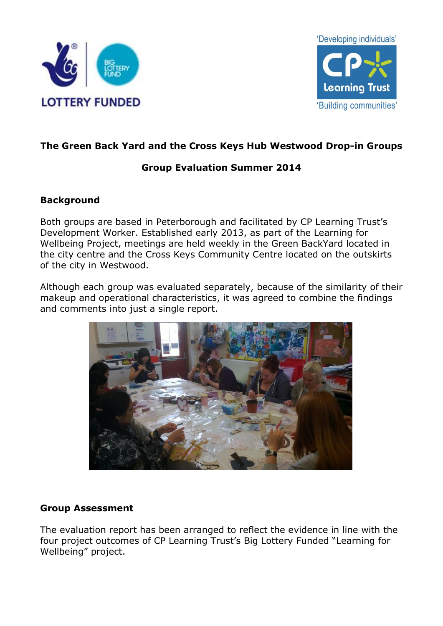



# **The Green Back Yard and the Cross Keys Hub Westwood Drop-in Groups**

## **Group Evaluation Summer 2014**

## **Background**

Both groups are based in Peterborough and facilitated by CP Learning Trust's Development Worker. Established early 2013, as part of the Learning for Wellbeing Project, meetings are held weekly in the Green BackYard located in the city centre and the Cross Keys Community Centre located on the outskirts of the city in Westwood.

Although each group was evaluated separately, because of the similarity of their makeup and operational characteristics, it was agreed to combine the findings and comments into just a single report.



## **Group Assessment**

The evaluation report has been arranged to reflect the evidence in line with the four project outcomes of CP Learning Trust's Big Lottery Funded "Learning for Wellbeing" project.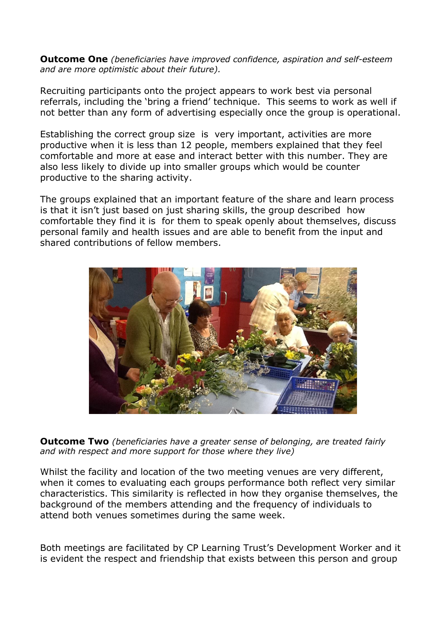**Outcome One** *(beneficiaries have improved confidence, aspiration and self-esteem and are more optimistic about their future).*

Recruiting participants onto the project appears to work best via personal referrals, including the 'bring a friend' technique. This seems to work as well if not better than any form of advertising especially once the group is operational.

Establishing the correct group size is very important, activities are more productive when it is less than 12 people, members explained that they feel comfortable and more at ease and interact better with this number. They are also less likely to divide up into smaller groups which would be counter productive to the sharing activity.

The groups explained that an important feature of the share and learn process is that it isn't just based on just sharing skills, the group described how comfortable they find it is for them to speak openly about themselves, discuss personal family and health issues and are able to benefit from the input and shared contributions of fellow members.



**Outcome Two** *(beneficiaries have a greater sense of belonging, are treated fairly and with respect and more support for those where they live)*

Whilst the facility and location of the two meeting venues are very different, when it comes to evaluating each groups performance both reflect very similar characteristics. This similarity is reflected in how they organise themselves, the background of the members attending and the frequency of individuals to attend both venues sometimes during the same week.

Both meetings are facilitated by CP Learning Trust's Development Worker and it is evident the respect and friendship that exists between this person and group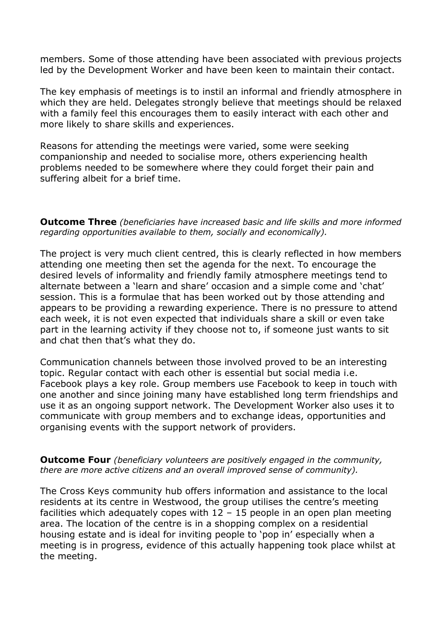members. Some of those attending have been associated with previous projects led by the Development Worker and have been keen to maintain their contact.

The key emphasis of meetings is to instil an informal and friendly atmosphere in which they are held. Delegates strongly believe that meetings should be relaxed with a family feel this encourages them to easily interact with each other and more likely to share skills and experiences.

Reasons for attending the meetings were varied, some were seeking companionship and needed to socialise more, others experiencing health problems needed to be somewhere where they could forget their pain and suffering albeit for a brief time.

**Outcome Three** *(beneficiaries have increased basic and life skills and more informed regarding opportunities available to them, socially and economically).*

The project is very much client centred, this is clearly reflected in how members attending one meeting then set the agenda for the next. To encourage the desired levels of informality and friendly family atmosphere meetings tend to alternate between a 'learn and share' occasion and a simple come and 'chat' session. This is a formulae that has been worked out by those attending and appears to be providing a rewarding experience. There is no pressure to attend each week, it is not even expected that individuals share a skill or even take part in the learning activity if they choose not to, if someone just wants to sit and chat then that's what they do.

Communication channels between those involved proved to be an interesting topic. Regular contact with each other is essential but social media i.e. Facebook plays a key role. Group members use Facebook to keep in touch with one another and since joining many have established long term friendships and use it as an ongoing support network. The Development Worker also uses it to communicate with group members and to exchange ideas, opportunities and organising events with the support network of providers.

**Outcome Four** *(beneficiary volunteers are positively engaged in the community, there are more active citizens and an overall improved sense of community).*

The Cross Keys community hub offers information and assistance to the local residents at its centre in Westwood, the group utilises the centre's meeting facilities which adequately copes with  $12 - 15$  people in an open plan meeting area. The location of the centre is in a shopping complex on a residential housing estate and is ideal for inviting people to 'pop in' especially when a meeting is in progress, evidence of this actually happening took place whilst at the meeting.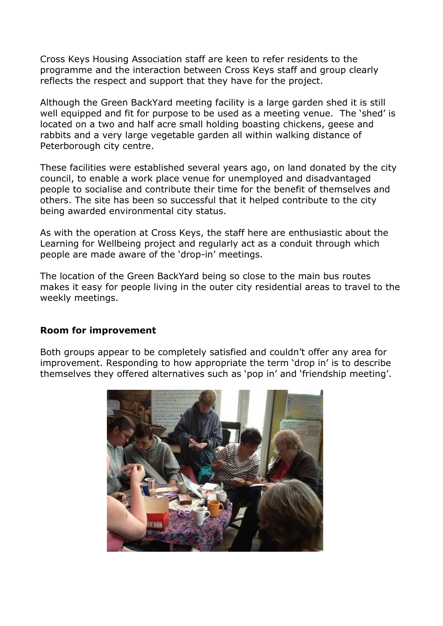Cross Keys Housing Association staff are keen to refer residents to the programme and the interaction between Cross Keys staff and group clearly reflects the respect and support that they have for the project.

Although the Green BackYard meeting facility is a large garden shed it is still well equipped and fit for purpose to be used as a meeting venue. The 'shed' is located on a two and half acre small holding boasting chickens, geese and rabbits and a very large vegetable garden all within walking distance of Peterborough city centre.

These facilities were established several years ago, on land donated by the city council, to enable a work place venue for unemployed and disadvantaged people to socialise and contribute their time for the benefit of themselves and others. The site has been so successful that it helped contribute to the city being awarded environmental city status.

As with the operation at Cross Keys, the staff here are enthusiastic about the Learning for Wellbeing project and regularly act as a conduit through which people are made aware of the 'drop-in' meetings.

The location of the Green BackYard being so close to the main bus routes makes it easy for people living in the outer city residential areas to travel to the weekly meetings.

#### **Room for improvement**

Both groups appear to be completely satisfied and couldn't offer any area for improvement. Responding to how appropriate the term 'drop in' is to describe themselves they offered alternatives such as 'pop in' and 'friendship meeting'.

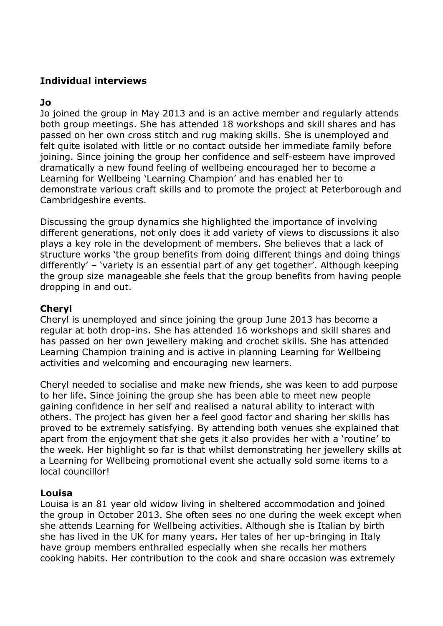## **Individual interviews**

### **Jo**

Jo joined the group in May 2013 and is an active member and regularly attends both group meetings. She has attended 18 workshops and skill shares and has passed on her own cross stitch and rug making skills. She is unemployed and felt quite isolated with little or no contact outside her immediate family before joining. Since joining the group her confidence and self-esteem have improved dramatically a new found feeling of wellbeing encouraged her to become a Learning for Wellbeing 'Learning Champion' and has enabled her to demonstrate various craft skills and to promote the project at Peterborough and Cambridgeshire events.

Discussing the group dynamics she highlighted the importance of involving different generations, not only does it add variety of views to discussions it also plays a key role in the development of members. She believes that a lack of structure works 'the group benefits from doing different things and doing things differently' – 'variety is an essential part of any get together'. Although keeping the group size manageable she feels that the group benefits from having people dropping in and out.

### **Cheryl**

Cheryl is unemployed and since joining the group June 2013 has become a regular at both drop-ins. She has attended 16 workshops and skill shares and has passed on her own jewellery making and crochet skills. She has attended Learning Champion training and is active in planning Learning for Wellbeing activities and welcoming and encouraging new learners.

Cheryl needed to socialise and make new friends, she was keen to add purpose to her life. Since joining the group she has been able to meet new people gaining confidence in her self and realised a natural ability to interact with others. The project has given her a feel good factor and sharing her skills has proved to be extremely satisfying. By attending both venues she explained that apart from the enjoyment that she gets it also provides her with a 'routine' to the week. Her highlight so far is that whilst demonstrating her jewellery skills at a Learning for Wellbeing promotional event she actually sold some items to a local councillor!

### **Louisa**

Louisa is an 81 year old widow living in sheltered accommodation and joined the group in October 2013. She often sees no one during the week except when she attends Learning for Wellbeing activities. Although she is Italian by birth she has lived in the UK for many years. Her tales of her up-bringing in Italy have group members enthralled especially when she recalls her mothers cooking habits. Her contribution to the cook and share occasion was extremely